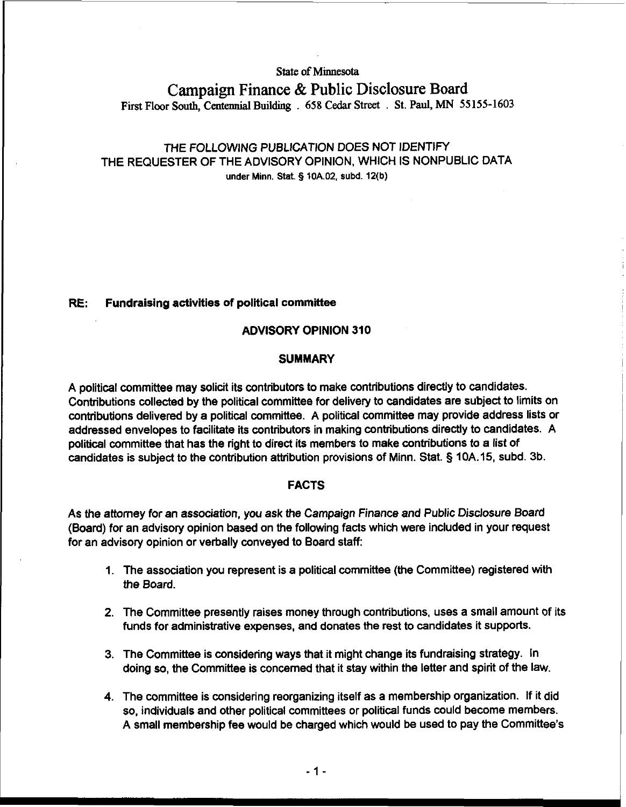**State of Minnesota** 

# **Campaign Finance** & **Public Disclosure Board First Floor South, Centennial Buiidmg** . **658 Cedar Street** . **St. Paul, MN 55155-1603**

# THE FOLLOWING PUBLICATION DOES NOT IDENTIFY THE REQUESTER OF THE ADVISORY OPINION, WHICH IS NONPUBLIC DATA under Minn. Stat. § **10A.02, subd. 12(b)**

# **RE:** Fundraising activities of political committee

#### ADVISORY OPINION 310

#### **SUMMARY**

A political committee may solicit its contributors to make contributions directly to candidates. Contributions collected by the political committee for delivery to candidates are subject to limits on contributions delivered by a political committee. A political committee may provide address lists or addressed envelopes to facilitate its contributors in making contributions directly to candidates. A political committee that has the right to direct its members to make contributions to a list of candidates is subject to the contribution attribution provisions of Minn. Stat. § 10A.15, subd. 3b.

#### FACTS

As the attorney for an association, you ask the Campaign Finance and Public Disclosure Board (Board) for an advisory opinion based on the following facts which were included in your request for an advisory opinion or verbally conveyed to Board staff:

- 1. The association you represent is a political committee (the Committee) registered with the Board.
- 2. The Committee presently raises money through contributions, uses a small amount of its funds for administrative expenses, and donates the rest to candidates it supports.
- 3. The Committee is considering ways that it might change its fundraising strategy. In doing so, the Committee is concerned that it stay within the letter and spirit of the law.
- 4. The committee is considering reorganizing itself as a membership organization. If it did so, individuals and other political committees or political funds could become members. A small membership fee would be charged which would be used to pay the Committee's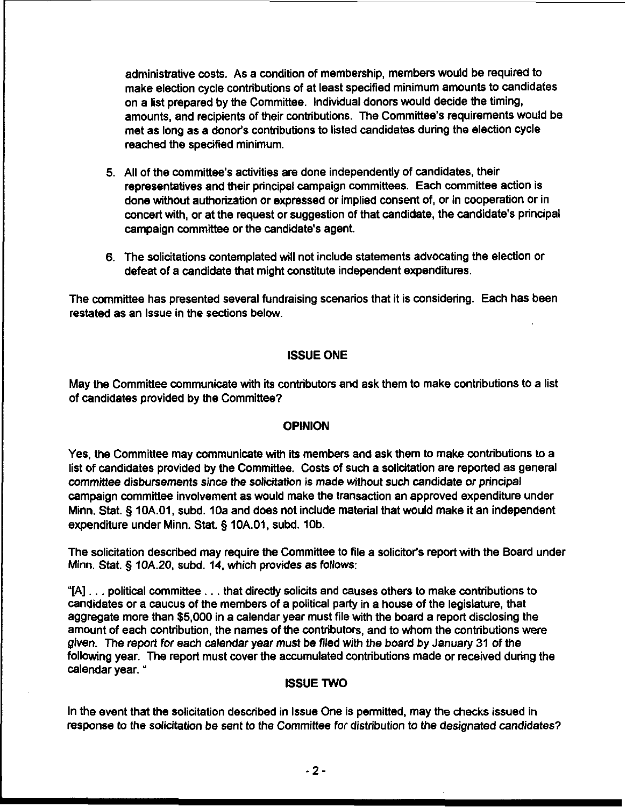administrative costs. As a condition of membership, members would be required to make election cycle contributions of at least specified minimum amounts to candidates on a list prepared by the Committee. Individual donors would decide the timing, amounts, and recipients of their contributions. The Committee's requirements would be met as long as a donor's contributions to listed candidates during the election cycle reached the specified minimum.

- 5. All of the committee's activities are done independently of candidates, their representatives and their principal campaign committees. Each committee action is done without authorization or expressed or implied consent of, or in cooperation or in concert with, or at the request or suggestion of that candidate, the candidate's principal campaign committee or the candidate's agent
- 6. The solicitations contemplated will not include statements advocating the election or defeat of a candidate that might constitute independent expenditures.

The committee has presented several fundraising scenarios that it is considering. Each has been restated as an lssue in the sections below.

# ISSUE ONE

May the Committee communicate with its contributors and ask them to make contributions to a list of candidates provided by the Committee?

#### **OPINION**

Yes, the Committee may communicate with its members and ask them to make contributions to a list of candidates provided by the Committee. Costs of such a solicitation are reported as general committee disbursements since the solicitation is made without such candidate or principal campaign committee involvement as would make the transaction an approved expenditure under Minn. Stat. § 10A.O1, subd. 10a and does not include material that would make it an independent expenditure under Minn. Stat. § 10A.01, subd. 10b.

The solicitation described may require the Committee to file a solicitor's report with the Board under Minn. Stat. 5 **lOA.20,** subd. 14, which provides as follows:

"[A] . . . political committee . . . that directly solicits and causes others to make contributions to candidates or a caucus of the members of a political party in a house of the legislature, that aggregate more than \$5,000 in a calendar year must file with the board a report disclosing the amount of each contribution, the names of the contributors, and to whom the contributions were given. The report for each calendar year must be filed with the board by January 31 of the following year. The report must cover the accumulated contributions made or received during the calendar year. "

# ISSUE TWO

In the event that the solicitation described in lssue One is permitted, may the checks issued in response to the solicitation be sent to the Committee for distribution to the designated candidates?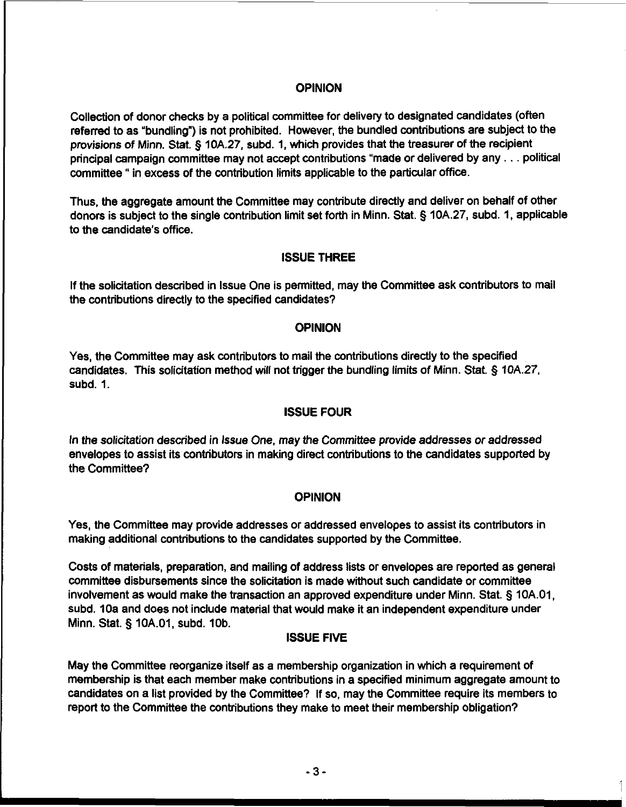#### **OPINION**

Collection of donor checks by a political committee for delivery to designated candidates (often referred to as "bundling") is not prohibited. However, the bundled contributions are subject to the provisions of Minn. Stat. **Q** 10A.27, subd. 1, which provides that the treasurer of the recipient principal campaign committee may not accept contributions "made or delivered by any . . . political committee " in excess of the contribution limits applicable to the particular office.

Thus, the aggregate amount the Committee may contribute directly and deliver on behalf of other donors is subject to the single contribution limit set forth in Minn. Stat. **Q** 10A.27, subd. 1, applicable to the candidate's office.

# ISSUE THREE

If the solicitation described in lssue One is permitted, may the Committee ask contributors to mail the contributions directly to the specified candidates?

#### **OPINION**

Yes, the Committee may ask contributors to mail the contributions directly to the specified candidates. This solicitation method will not trigger the bundling limits of Minn. Stat. **5** lOA.27, subd. 1.

# ISSUE FOUR

In the solicitation described in lssue One, may the Committee provide addresses or addressed envelopes to assist its contributors in making direct contributions to the candidates supported by the Committee?

# **OPINION**

Yes, the Committee may provide addresses or addressed envelopes to assist its contributors in making additional contributions to the candidates supported by the Committee.

Costs of materials, preparation, and mailing of address lists or envelopes are reported as general committee disbursements since the solicitation is made without such candidate or committee involvement as would make the transaction an approved expenditure under Minn. Stat. § 10A.O1, subd. 1Oa and does not include material that would make it an independent expenditure under Minn. Stat. § 10A.01, subd. 10b.

# ISSUE FIVE

May the Committee reorganize itself as a membership organization in which a requirement of membership is that each member make contributions in a specified minimum aggregate amount to candidates on a list provided by the Committee? If so, may the Committee require its members to report to the Committee the contributions they make to meet their membership obligation?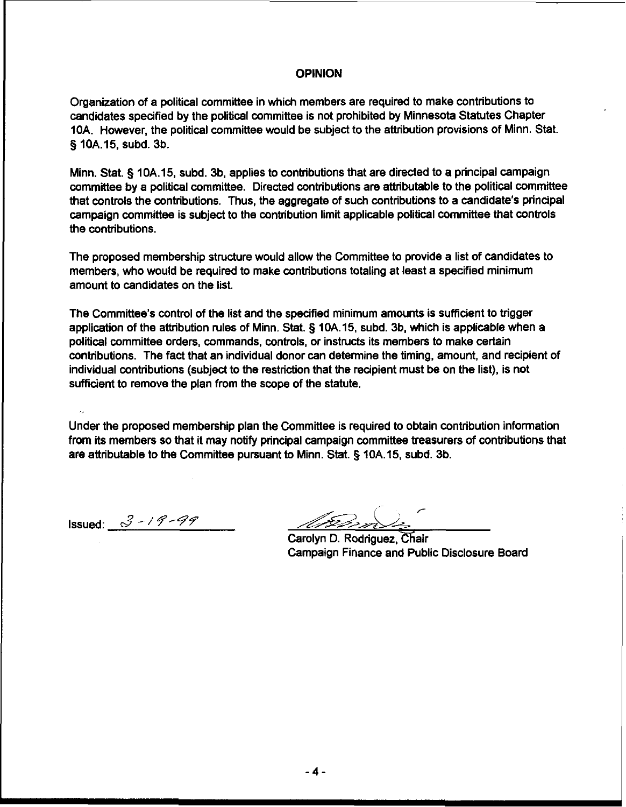#### OPINION

Organization of a political committee in which members are required to make contributions to candidates specified by the political committee is not prohibited by Minnesota Statutes Chapter 1OA. However, the political cornmittee would be subject to the attribution provisions of Minn. Stat. **5** 10A.15, subd. 3b.

Minn. Stat. **5** lOA.15, subd. 3b, applies to contributions that are directed to a principal campaign committee by a political committee. Directed contributions are attributable to the political committee that controls the contributions. Thus, the aggregate of such contributions to a candidate's principal campaign committee is subject to the contribution limit applicable political committee that controls the contributions.

The proposed membership structure would allow the Committee to provide a list of candidates to members, who would be required to make contributions totaling at least a specified minimum amount to candidates on the list.

The Committee's control of the list and the specified minimum amounts is sufficient to trigger application of the attribution rules of Minn. Stat. **5** 10A.15, subd. 3b, which is applicable when a political committee orders, commands, controls, or instructs its members to make certain contributions. The fact that an individual donor can determine the timing, amount, and recipient of individual contributions (subject to the restriction that the recipient must be on the list), is not sufficient to remove the plan from the scope of the statute.

Under the proposed membership plan the Committee is required to obtain contribution information from its members so that it may notify principal campaign committee treasurers of contributions that are attributable to the Committee pursuant to Minn. Stat. **5** lOA.15, subd. 3b.

Issued:  $3 - 19 - 99$ 

ž,

,-

Carolyn D. Rodriguez. Chair Campaign Finance and Public Disclosure Board